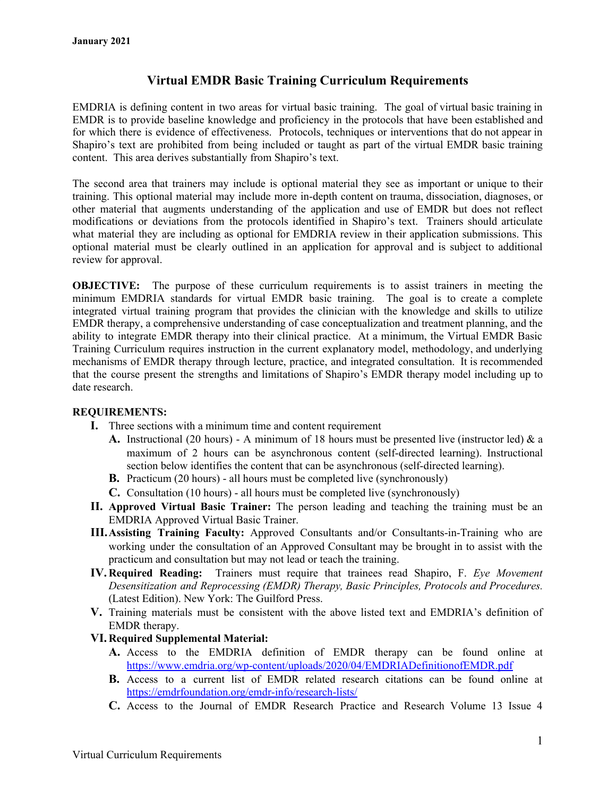# **Virtual EMDR Basic Training Curriculum Requirements**

EMDRIA is defining content in two areas for virtual basic training. The goal of virtual basic training in EMDR is to provide baseline knowledge and proficiency in the protocols that have been established and for which there is evidence of effectiveness. Protocols, techniques or interventions that do not appear in Shapiro's text are prohibited from being included or taught as part of the virtual EMDR basic training content. This area derives substantially from Shapiro's text.

The second area that trainers may include is optional material they see as important or unique to their training. This optional material may include more in-depth content on trauma, dissociation, diagnoses, or other material that augments understanding of the application and use of EMDR but does not reflect modifications or deviations from the protocols identified in Shapiro's text. Trainers should articulate what material they are including as optional for EMDRIA review in their application submissions. This optional material must be clearly outlined in an application for approval and is subject to additional review for approval.

**OBJECTIVE:** The purpose of these curriculum requirements is to assist trainers in meeting the minimum EMDRIA standards for virtual EMDR basic training. The goal is to create a complete integrated virtual training program that provides the clinician with the knowledge and skills to utilize EMDR therapy, a comprehensive understanding of case conceptualization and treatment planning, and the ability to integrate EMDR therapy into their clinical practice. At a minimum, the Virtual EMDR Basic Training Curriculum requires instruction in the current explanatory model, methodology, and underlying mechanisms of EMDR therapy through lecture, practice, and integrated consultation. It is recommended that the course present the strengths and limitations of Shapiro's EMDR therapy model including up to date research.

# **REQUIREMENTS:**

- **I.** Three sections with a minimum time and content requirement
	- **A.** Instructional (20 hours) A minimum of 18 hours must be presented live (instructor led)  $\&$  a maximum of 2 hours can be asynchronous content (self-directed learning). Instructional section below identifies the content that can be asynchronous (self-directed learning).
	- **B.** Practicum (20 hours) all hours must be completed live (synchronously)
	- **C.** Consultation (10 hours) all hours must be completed live (synchronously)
- **II. Approved Virtual Basic Trainer:** The person leading and teaching the training must be an EMDRIA Approved Virtual Basic Trainer.
- **III.Assisting Training Faculty:** Approved Consultants and/or Consultants-in-Training who are working under the consultation of an Approved Consultant may be brought in to assist with the practicum and consultation but may not lead or teach the training.
- **IV. Required Reading:** Trainers must require that trainees read Shapiro, F. *Eye Movement Desensitization and Reprocessing (EMDR) Therapy, Basic Principles, Protocols and Procedures.* (Latest Edition). New York: The Guilford Press.
- **V.** Training materials must be consistent with the above listed text and EMDRIA's definition of EMDR therapy.

# **VI. Required Supplemental Material:**

- **A.** Access to the EMDRIA definition of EMDR therapy can be found online at <https://www.emdria.org/wp-content/uploads/2020/04/EMDRIADefinitionofEMDR.pdf>
- **B.** Access to a current list of EMDR related research citations can be found online at <https://emdrfoundation.org/emdr-info/research-lists/>
- **C.** Access to the Journal of EMDR Research Practice and Research Volume 13 Issue 4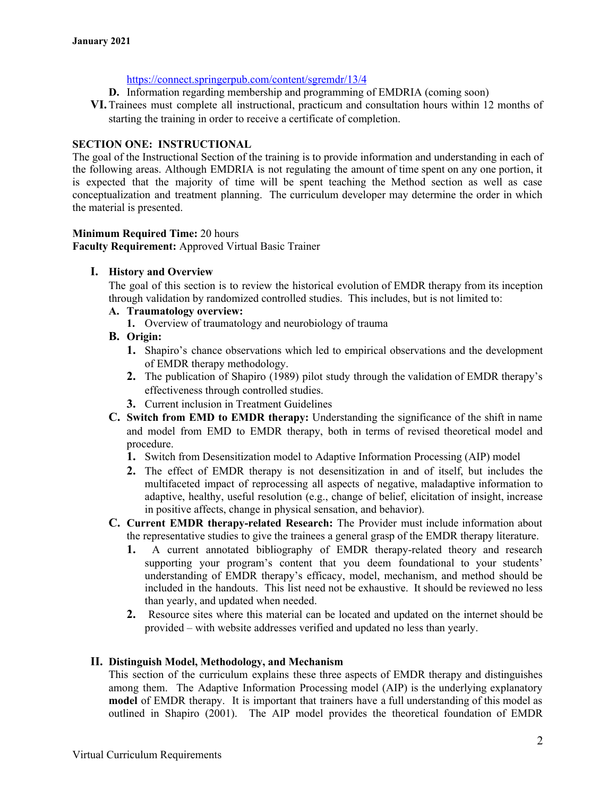#### <https://connect.springerpub.com/content/sgremdr/13/4>

- **D.** Information regarding membership and programming of EMDRIA (coming soon)
- **VI.**Trainees must complete all instructional, practicum and consultation hours within 12 months of starting the training in order to receive a certificate of completion.

### **SECTION ONE: INSTRUCTIONAL**

The goal of the Instructional Section of the training is to provide information and understanding in each of the following areas. Although EMDRIA is not regulating the amount of time spent on any one portion, it is expected that the majority of time will be spent teaching the Method section as well as case conceptualization and treatment planning. The curriculum developer may determine the order in which the material is presented.

### **Minimum Required Time:** 20 hours

**Faculty Requirement:** Approved Virtual Basic Trainer

### **I. History and Overview**

The goal of this section is to review the historical evolution of EMDR therapy from its inception through validation by randomized controlled studies. This includes, but is not limited to:

### **A. Traumatology overview:**

**1.** Overview of traumatology and neurobiology of trauma

### **B. Origin:**

- **1.** Shapiro's chance observations which led to empirical observations and the development of EMDR therapy methodology.
- **2.** The publication of Shapiro (1989) pilot study through the validation of EMDR therapy's effectiveness through controlled studies.
- **3.** Current inclusion in Treatment Guidelines
- **C. Switch from EMD to EMDR therapy:** Understanding the significance of the shift in name and model from EMD to EMDR therapy, both in terms of revised theoretical model and procedure.
	- **1.** Switch from Desensitization model to Adaptive Information Processing (AIP) model
	- **2.** The effect of EMDR therapy is not desensitization in and of itself, but includes the multifaceted impact of reprocessing all aspects of negative, maladaptive information to adaptive, healthy, useful resolution (e.g., change of belief, elicitation of insight, increase in positive affects, change in physical sensation, and behavior).
- **C. Current EMDR therapy-related Research:** The Provider must include information about the representative studies to give the trainees a general grasp of the EMDR therapy literature.
	- **1.** A current annotated bibliography of EMDR therapy-related theory and research supporting your program's content that you deem foundational to your students' understanding of EMDR therapy's efficacy, model, mechanism, and method should be included in the handouts. This list need not be exhaustive. It should be reviewed no less than yearly, and updated when needed.
	- **2.** Resource sites where this material can be located and updated on the internet should be provided – with website addresses verified and updated no less than yearly.

#### **II. Distinguish Model, Methodology, and Mechanism**

This section of the curriculum explains these three aspects of EMDR therapy and distinguishes among them. The Adaptive Information Processing model (AIP) is the underlying explanatory **model** of EMDR therapy. It is important that trainers have a full understanding of this model as outlined in Shapiro (2001). The AIP model provides the theoretical foundation of EMDR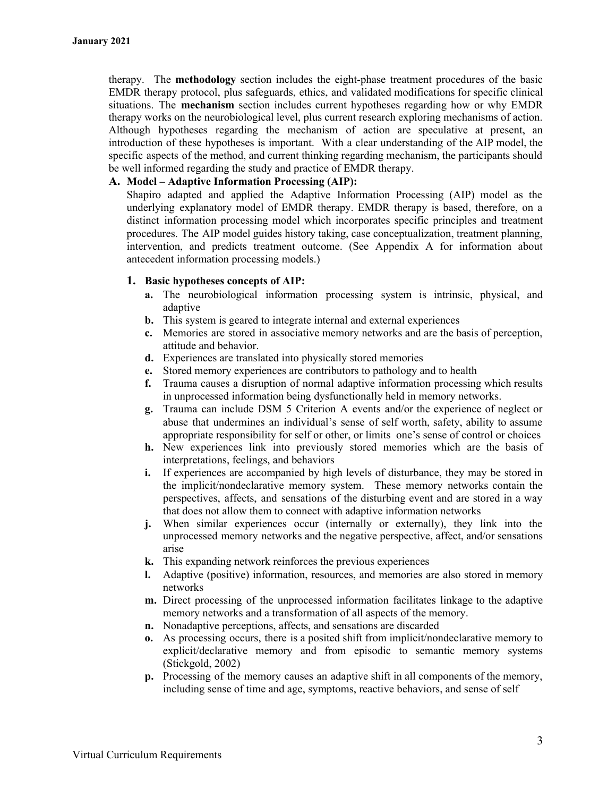therapy. The **methodology** section includes the eight-phase treatment procedures of the basic EMDR therapy protocol, plus safeguards, ethics, and validated modifications for specific clinical situations. The **mechanism** section includes current hypotheses regarding how or why EMDR therapy works on the neurobiological level, plus current research exploring mechanisms of action. Although hypotheses regarding the mechanism of action are speculative at present, an introduction of these hypotheses is important. With a clear understanding of the AIP model, the specific aspects of the method, and current thinking regarding mechanism, the participants should be well informed regarding the study and practice of EMDR therapy.

#### **A. Model – Adaptive Information Processing (AIP):**

Shapiro adapted and applied the Adaptive Information Processing (AIP) model as the underlying explanatory model of EMDR therapy. EMDR therapy is based, therefore, on a distinct information processing model which incorporates specific principles and treatment procedures. The AIP model guides history taking, case conceptualization, treatment planning, intervention, and predicts treatment outcome. (See Appendix A for information about antecedent information processing models.)

### **1. Basic hypotheses concepts of AIP:**

- **a.** The neurobiological information processing system is intrinsic, physical, and adaptive
- **b.** This system is geared to integrate internal and external experiences
- **c.** Memories are stored in associative memory networks and are the basis of perception, attitude and behavior.
- **d.** Experiences are translated into physically stored memories
- **e.** Stored memory experiences are contributors to pathology and to health
- **f.** Trauma causes a disruption of normal adaptive information processing which results in unprocessed information being dysfunctionally held in memory networks.
- **g.** Trauma can include DSM 5 Criterion A events and/or the experience of neglect or abuse that undermines an individual's sense of self worth, safety, ability to assume appropriate responsibility for self or other, or limits one's sense of control or choices
- **h.** New experiences link into previously stored memories which are the basis of interpretations, feelings, and behaviors
- **i.** If experiences are accompanied by high levels of disturbance, they may be stored in the implicit/nondeclarative memory system. These memory networks contain the perspectives, affects, and sensations of the disturbing event and are stored in a way that does not allow them to connect with adaptive information networks
- **j.** When similar experiences occur (internally or externally), they link into the unprocessed memory networks and the negative perspective, affect, and/or sensations arise
- **k.** This expanding network reinforces the previous experiences
- **l.** Adaptive (positive) information, resources, and memories are also stored in memory networks
- **m.** Direct processing of the unprocessed information facilitates linkage to the adaptive memory networks and a transformation of all aspects of the memory.
- **n.** Nonadaptive perceptions, affects, and sensations are discarded
- **o.** As processing occurs, there is a posited shift from implicit/nondeclarative memory to explicit/declarative memory and from episodic to semantic memory systems (Stickgold, 2002)
- **p.** Processing of the memory causes an adaptive shift in all components of the memory, including sense of time and age, symptoms, reactive behaviors, and sense of self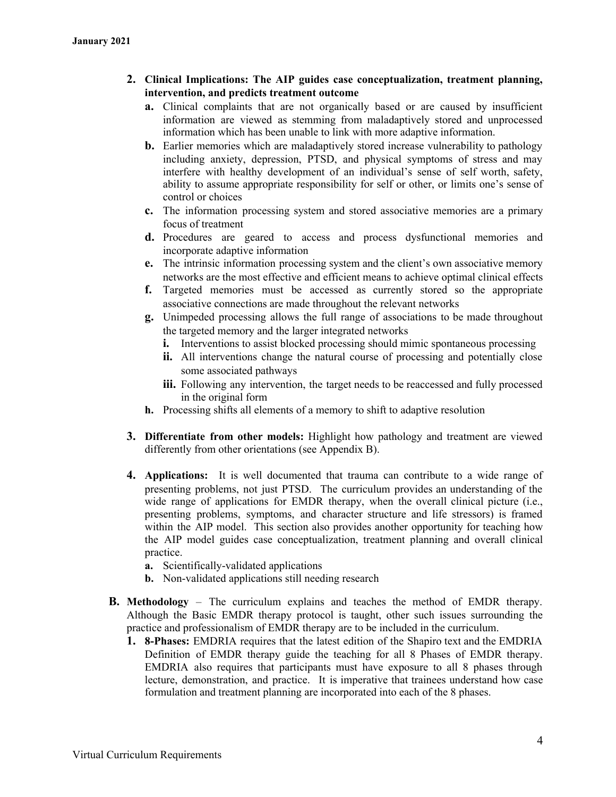- **2. Clinical Implications: The AIP guides case conceptualization, treatment planning, intervention, and predicts treatment outcome**
	- **a.** Clinical complaints that are not organically based or are caused by insufficient information are viewed as stemming from maladaptively stored and unprocessed information which has been unable to link with more adaptive information.
	- **b.** Earlier memories which are maladaptively stored increase vulnerability to pathology including anxiety, depression, PTSD, and physical symptoms of stress and may interfere with healthy development of an individual's sense of self worth, safety, ability to assume appropriate responsibility for self or other, or limits one's sense of control or choices
	- **c.** The information processing system and stored associative memories are a primary focus of treatment
	- **d.** Procedures are geared to access and process dysfunctional memories and incorporate adaptive information
	- **e.** The intrinsic information processing system and the client's own associative memory networks are the most effective and efficient means to achieve optimal clinical effects
	- **f.** Targeted memories must be accessed as currently stored so the appropriate associative connections are made throughout the relevant networks
	- **g.** Unimpeded processing allows the full range of associations to be made throughout the targeted memory and the larger integrated networks
		- **i.** Interventions to assist blocked processing should mimic spontaneous processing
		- **ii.** All interventions change the natural course of processing and potentially close some associated pathways
		- **iii.** Following any intervention, the target needs to be reaccessed and fully processed in the original form
	- **h.** Processing shifts all elements of a memory to shift to adaptive resolution
- **3. Differentiate from other models:** Highlight how pathology and treatment are viewed differently from other orientations (see Appendix B).
- **4. Applications:** It is well documented that trauma can contribute to a wide range of presenting problems, not just PTSD. The curriculum provides an understanding of the wide range of applications for EMDR therapy, when the overall clinical picture (i.e., presenting problems, symptoms, and character structure and life stressors) is framed within the AIP model. This section also provides another opportunity for teaching how the AIP model guides case conceptualization, treatment planning and overall clinical practice.
	- **a.** Scientifically-validated applications
	- **b.** Non-validated applications still needing research
- **B. Methodology** The curriculum explains and teaches the method of EMDR therapy. Although the Basic EMDR therapy protocol is taught, other such issues surrounding the practice and professionalism of EMDR therapy are to be included in the curriculum.
	- **1. 8-Phases:** EMDRIA requires that the latest edition of the Shapiro text and the EMDRIA Definition of EMDR therapy guide the teaching for all 8 Phases of EMDR therapy. EMDRIA also requires that participants must have exposure to all 8 phases through lecture, demonstration, and practice. It is imperative that trainees understand how case formulation and treatment planning are incorporated into each of the 8 phases.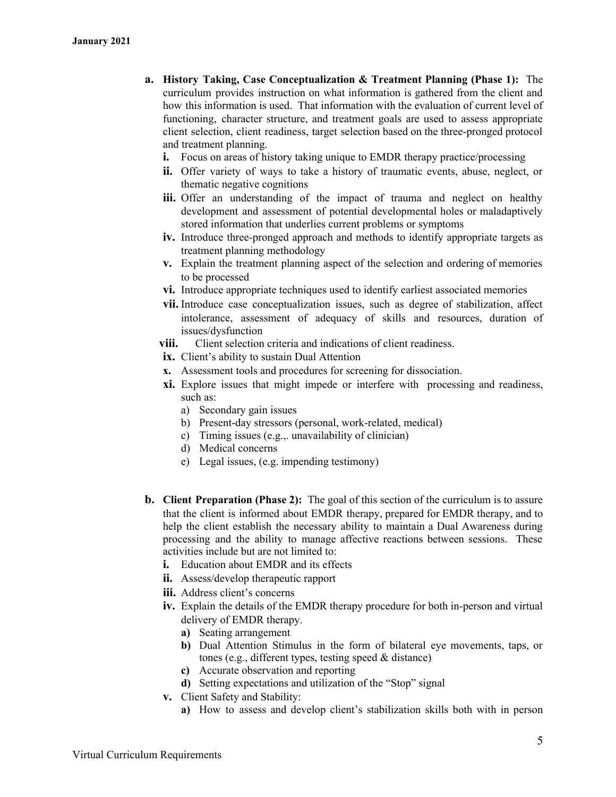- **a. History Taking, Case Conceptualization & Treatment Planning (Phase 1):** The curriculum provides instruction on what information is gathered from the client and how this information is used. That information with the evaluation of current level of functioning, character structure, and treatment goals are used to assess appropriate client selection, client readiness, target selection based on the three-pronged protocol and treatment planning.
	- **i.** Focus on areas of history taking unique to EMDR therapy practice/processing
	- **ii.** Offer variety of ways to take a history of traumatic events, abuse, neglect, or thematic negative cognitions
	- iii. Offer an understanding of the impact of trauma and neglect on healthy development and assessment of potential developmental holes or maladaptively stored information that underlies current problems or symptoms
	- **iv.** Introduce three-pronged approach and methods to identify appropriate targets as treatment planning methodology
	- **v.** Explain the treatment planning aspect of the selection and ordering of memories to be processed
	- **vi.** Introduce appropriate techniques used to identify earliest associated memories
	- **vii.** Introduce case conceptualization issues, such as degree of stabilization, affect intolerance, assessment of adequacy of skills and resources, duration of issues/dysfunction
	- **viii.** Client selection criteria and indications of client readiness.
	- **ix.** Client's ability to sustain Dual Attention
	- **x.** Assessment tools and procedures for screening for dissociation.
	- **xi.** Explore issues that might impede or interfere with processing and readiness, such as:
		- a) Secondary gain issues
		- b) Present-day stressors (personal, work-related, medical)
		- c) Timing issues (e.g.,. unavailability of clinician)
		- d) Medical concerns
		- e) Legal issues, (e.g. impending testimony)
- **b. Client Preparation (Phase 2):** The goal of this section of the curriculum is to assure that the client is informed about EMDR therapy, prepared for EMDR therapy, and to help the client establish the necessary ability to maintain a Dual Awareness during processing and the ability to manage affective reactions between sessions. These activities include but are not limited to:
	- **i.** Education about EMDR and its effects
	- **ii.** Assess/develop therapeutic rapport
	- **iii.** Address client's concerns
	- **iv.** Explain the details of the EMDR therapy procedure for both in-person and virtual delivery of EMDR therapy.
		- **a)** Seating arrangement
		- **b)** Dual Attention Stimulus in the form of bilateral eye movements, taps, or tones (e.g., different types, testing speed & distance)
		- **c)** Accurate observation and reporting
		- **d)** Setting expectations and utilization of the "Stop" signal
	- **v.** Client Safety and Stability:
		- **a)** How to assess and develop client's stabilization skills both with in person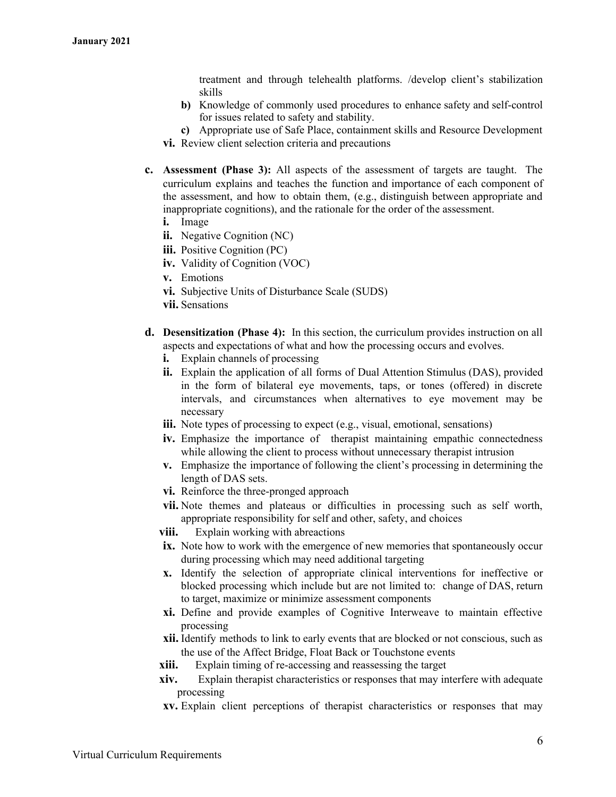treatment and through telehealth platforms. /develop client's stabilization skills

- **b)** Knowledge of commonly used procedures to enhance safety and self-control for issues related to safety and stability.
- **c)** Appropriate use of Safe Place, containment skills and Resource Development **vi.** Review client selection criteria and precautions
- **c. Assessment (Phase 3):** All aspects of the assessment of targets are taught. The curriculum explains and teaches the function and importance of each component of the assessment, and how to obtain them, (e.g., distinguish between appropriate and inappropriate cognitions), and the rationale for the order of the assessment.
	- **i.** Image
	- **ii.** Negative Cognition (NC)
	- **iii.** Positive Cognition (PC)
	- **iv.** Validity of Cognition (VOC)
	- **v.** Emotions
	- **vi.** Subjective Units of Disturbance Scale (SUDS)
	- **vii.** Sensations
- **d. Desensitization (Phase 4):** In this section, the curriculum provides instruction on all aspects and expectations of what and how the processing occurs and evolves.
	- **i.** Explain channels of processing
	- **ii.** Explain the application of all forms of Dual Attention Stimulus (DAS), provided in the form of bilateral eye movements, taps, or tones (offered) in discrete intervals, and circumstances when alternatives to eye movement may be necessary
	- **iii.** Note types of processing to expect (e.g., visual, emotional, sensations)
	- **iv.** Emphasize the importance of therapist maintaining empathic connectedness while allowing the client to process without unnecessary therapist intrusion
	- **v.** Emphasize the importance of following the client's processing in determining the length of DAS sets.
	- **vi.** Reinforce the three-pronged approach
	- **vii.** Note themes and plateaus or difficulties in processing such as self worth, appropriate responsibility for self and other, safety, and choices
	- **viii.** Explain working with abreactions
	- **ix.** Note how to work with the emergence of new memories that spontaneously occur during processing which may need additional targeting
	- **x.** Identify the selection of appropriate clinical interventions for ineffective or blocked processing which include but are not limited to: change of DAS, return to target, maximize or minimize assessment components
	- **xi.** Define and provide examples of Cognitive Interweave to maintain effective processing
	- **xii.** Identify methods to link to early events that are blocked or not conscious, such as the use of the Affect Bridge, Float Back or Touchstone events
	- **xiii.** Explain timing of re-accessing and reassessing the target
	- **xiv.** Explain therapist characteristics or responses that may interfere with adequate processing
	- **xv.** Explain client perceptions of therapist characteristics or responses that may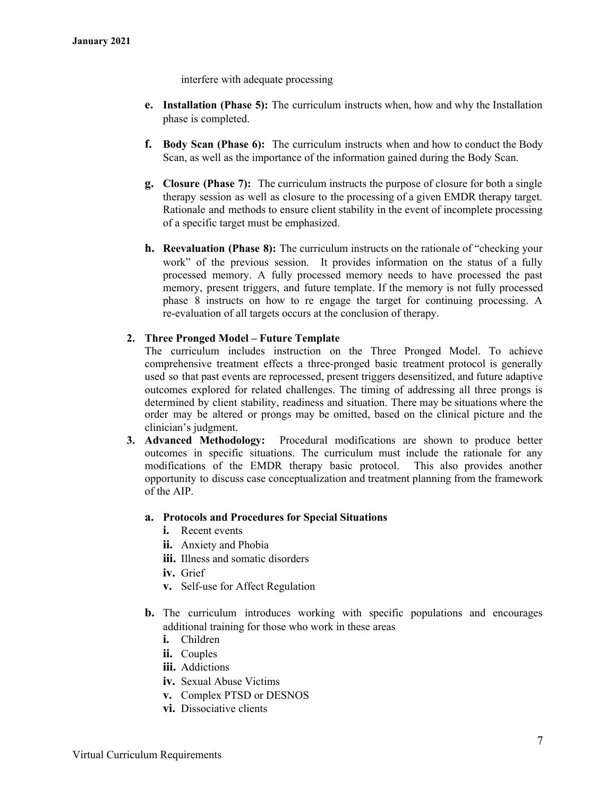interfere with adequate processing

- **e. Installation (Phase 5):** The curriculum instructs when, how and why the Installation phase is completed.
- **f. Body Scan (Phase 6):** The curriculum instructs when and how to conduct the Body Scan, as well as the importance of the information gained during the Body Scan.
- **g. Closure (Phase 7):** The curriculum instructs the purpose of closure for both a single therapy session as well as closure to the processing of a given EMDR therapy target. Rationale and methods to ensure client stability in the event of incomplete processing of a specific target must be emphasized.
- **h. Reevaluation (Phase 8):** The curriculum instructs on the rationale of "checking your work" of the previous session. It provides information on the status of a fully processed memory. A fully processed memory needs to have processed the past memory, present triggers, and future template. If the memory is not fully processed phase 8 instructs on how to re engage the target for continuing processing. A re-evaluation of all targets occurs at the conclusion of therapy.

#### **2. Three Pronged Model – Future Template**

The curriculum includes instruction on the Three Pronged Model. To achieve comprehensive treatment effects a three-pronged basic treatment protocol is generally used so that past events are reprocessed, present triggers desensitized, and future adaptive outcomes explored for related challenges. The timing of addressing all three prongs is determined by client stability, readiness and situation. There may be situations where the order may be altered or prongs may be omitted, based on the clinical picture and the clinician's judgment.

**3. Advanced Methodology:** Procedural modifications are shown to produce better outcomes in specific situations. The curriculum must include the rationale for any modifications of the EMDR therapy basic protocol. This also provides another opportunity to discuss case conceptualization and treatment planning from the framework of the AIP.

#### **a. Protocols and Procedures for Special Situations**

- **i.** Recent events
- **ii.** Anxiety and Phobia
- **iii.** Illness and somatic disorders
- **iv.** Grief
- **v.** Self-use for Affect Regulation
- **b.** The curriculum introduces working with specific populations and encourages additional training for those who work in these areas
	- **i.** Children
	- **ii.** Couples
	- **iii.** Addictions
	- **iv.** Sexual Abuse Victims
	- **v.** Complex PTSD or DESNOS
	- **vi.** Dissociative clients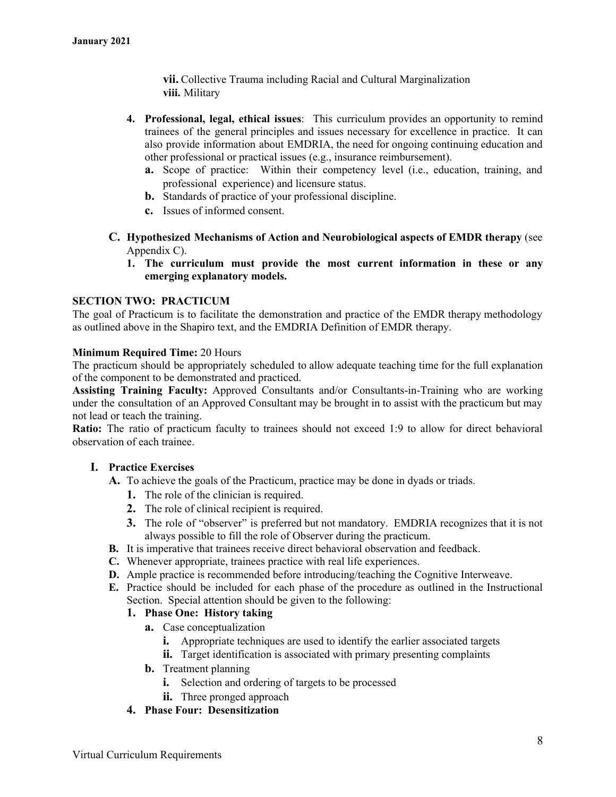**vii.** Collective Trauma including Racial and Cultural Marginalization **viii.** Military

- **4. Professional, legal, ethical issues**: This curriculum provides an opportunity to remind trainees of the general principles and issues necessary for excellence in practice. It can also provide information about EMDRIA, the need for ongoing continuing education and other professional or practical issues (e.g., insurance reimbursement).
	- **a.** Scope of practice: Within their competency level (i.e., education, training, and professional experience) and licensure status.
	- **b.** Standards of practice of your professional discipline.
	- **c.** Issues of informed consent.
- **C. Hypothesized Mechanisms of Action and Neurobiological aspects of EMDR therapy** (see Appendix C).
	- **1. The curriculum must provide the most current information in these or any emerging explanatory models.**

#### **SECTION TWO: PRACTICUM**

The goal of Practicum is to facilitate the demonstration and practice of the EMDR therapy methodology as outlined above in the Shapiro text, and the EMDRIA Definition of EMDR therapy.

#### **Minimum Required Time:** 20 Hours

The practicum should be appropriately scheduled to allow adequate teaching time for the full explanation of the component to be demonstrated and practiced.

**Assisting Training Faculty:** Approved Consultants and/or Consultants-in-Training who are working under the consultation of an Approved Consultant may be brought in to assist with the practicum but may not lead or teach the training.

**Ratio:** The ratio of practicum faculty to trainees should not exceed 1:9 to allow for direct behavioral observation of each trainee.

#### **I. Practice Exercises**

- **A.** To achieve the goals of the Practicum, practice may be done in dyads or triads.
	- **1.** The role of the clinician is required.
	- **2.** The role of clinical recipient is required.
	- **3.** The role of "observer" is preferred but not mandatory. EMDRIA recognizes that it is not always possible to fill the role of Observer during the practicum.
- **B.** It is imperative that trainees receive direct behavioral observation and feedback.
- **C.** Whenever appropriate, trainees practice with real life experiences.
- **D.** Ample practice is recommended before introducing/teaching the Cognitive Interweave.
- **E.** Practice should be included for each phase of the procedure as outlined in the Instructional Section. Special attention should be given to the following:

# **1. Phase One: History taking**

- **a.** Case conceptualization
	- **i.** Appropriate techniques are used to identify the earlier associated targets
	- **ii.** Target identification is associated with primary presenting complaints
- **b.** Treatment planning
	- **i.** Selection and ordering of targets to be processed
	- **ii.** Three pronged approach
- **4. Phase Four: Desensitization**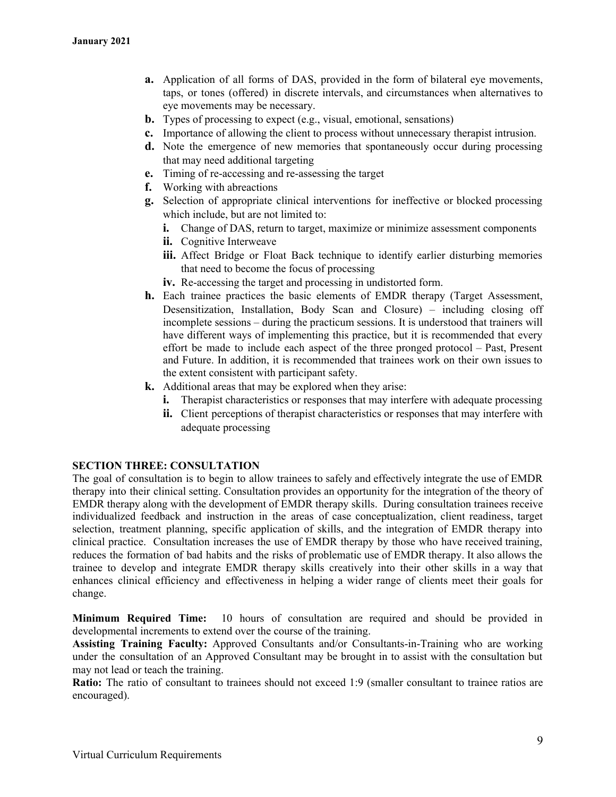- **a.** Application of all forms of DAS, provided in the form of bilateral eye movements, taps, or tones (offered) in discrete intervals, and circumstances when alternatives to eye movements may be necessary.
- **b.** Types of processing to expect (e.g., visual, emotional, sensations)
- **c.** Importance of allowing the client to process without unnecessary therapist intrusion.
- **d.** Note the emergence of new memories that spontaneously occur during processing that may need additional targeting
- **e.** Timing of re-accessing and re-assessing the target
- **f.** Working with abreactions
- **g.** Selection of appropriate clinical interventions for ineffective or blocked processing which include, but are not limited to:
	- **i.** Change of DAS, return to target, maximize or minimize assessment components
	- **ii.** Cognitive Interweave
	- **iii.** Affect Bridge or Float Back technique to identify earlier disturbing memories that need to become the focus of processing
	- **iv.** Re-accessing the target and processing in undistorted form.
- **h.** Each trainee practices the basic elements of EMDR therapy (Target Assessment, Desensitization, Installation, Body Scan and Closure) – including closing off incomplete sessions – during the practicum sessions. It is understood that trainers will have different ways of implementing this practice, but it is recommended that every effort be made to include each aspect of the three pronged protocol – Past, Present and Future. In addition, it is recommended that trainees work on their own issues to the extent consistent with participant safety.
- **k.** Additional areas that may be explored when they arise:
	- **i.** Therapist characteristics or responses that may interfere with adequate processing
	- **ii.** Client perceptions of therapist characteristics or responses that may interfere with adequate processing

# **SECTION THREE: CONSULTATION**

The goal of consultation is to begin to allow trainees to safely and effectively integrate the use of EMDR therapy into their clinical setting. Consultation provides an opportunity for the integration of the theory of EMDR therapy along with the development of EMDR therapy skills. During consultation trainees receive individualized feedback and instruction in the areas of case conceptualization, client readiness, target selection, treatment planning, specific application of skills, and the integration of EMDR therapy into clinical practice. Consultation increases the use of EMDR therapy by those who have received training, reduces the formation of bad habits and the risks of problematic use of EMDR therapy. It also allows the trainee to develop and integrate EMDR therapy skills creatively into their other skills in a way that enhances clinical efficiency and effectiveness in helping a wider range of clients meet their goals for change.

**Minimum Required Time:** 10 hours of consultation are required and should be provided in developmental increments to extend over the course of the training.

**Assisting Training Faculty:** Approved Consultants and/or Consultants-in-Training who are working under the consultation of an Approved Consultant may be brought in to assist with the consultation but may not lead or teach the training.

**Ratio:** The ratio of consultant to trainees should not exceed 1:9 (smaller consultant to trainee ratios are encouraged).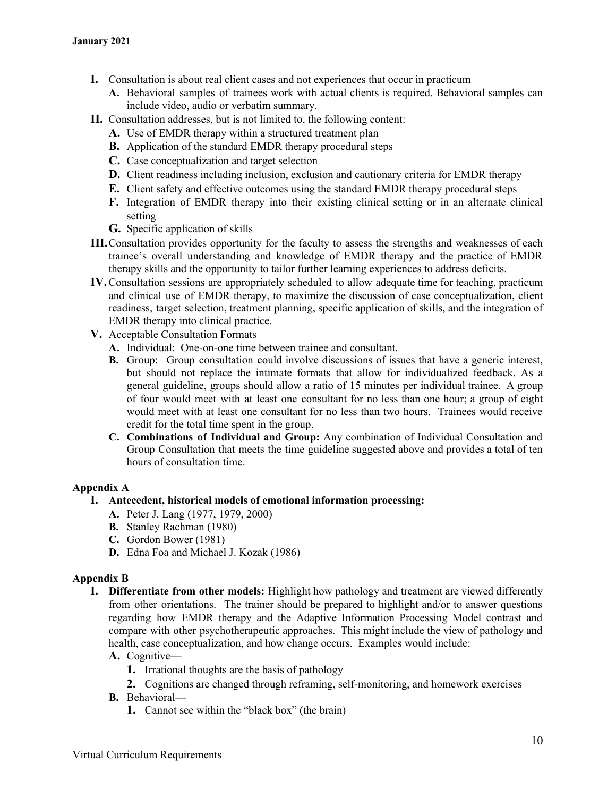- **I.** Consultation is about real client cases and not experiences that occur in practicum
	- **A.** Behavioral samples of trainees work with actual clients is required. Behavioral samples can include video, audio or verbatim summary.
- **II.** Consultation addresses, but is not limited to, the following content:
	- **A.** Use of EMDR therapy within a structured treatment plan
	- **B.** Application of the standard EMDR therapy procedural steps
	- **C.** Case conceptualization and target selection
	- **D.** Client readiness including inclusion, exclusion and cautionary criteria for EMDR therapy
	- **E.** Client safety and effective outcomes using the standard EMDR therapy procedural steps
	- **F.** Integration of EMDR therapy into their existing clinical setting or in an alternate clinical setting
	- **G.** Specific application of skills
- **III.**Consultation provides opportunity for the faculty to assess the strengths and weaknesses of each trainee's overall understanding and knowledge of EMDR therapy and the practice of EMDR therapy skills and the opportunity to tailor further learning experiences to address deficits.
- **IV.**Consultation sessions are appropriately scheduled to allow adequate time for teaching, practicum and clinical use of EMDR therapy, to maximize the discussion of case conceptualization, client readiness, target selection, treatment planning, specific application of skills, and the integration of EMDR therapy into clinical practice.
- **V.** Acceptable Consultation Formats
	- **A.** Individual: One-on-one time between trainee and consultant.
	- **B.** Group: Group consultation could involve discussions of issues that have a generic interest, but should not replace the intimate formats that allow for individualized feedback. As a general guideline, groups should allow a ratio of 15 minutes per individual trainee. A group of four would meet with at least one consultant for no less than one hour; a group of eight would meet with at least one consultant for no less than two hours. Trainees would receive credit for the total time spent in the group.
	- **C. Combinations of Individual and Group:** Any combination of Individual Consultation and Group Consultation that meets the time guideline suggested above and provides a total of ten hours of consultation time.

# **Appendix A**

# **I. Antecedent, historical models of emotional information processing:**

- **A.** Peter J. Lang (1977, 1979, 2000)
- **B.** Stanley Rachman (1980)
- **C.** Gordon Bower (1981)
- **D.** Edna Foa and Michael J. Kozak (1986)

# **Appendix B**

- **I. Differentiate from other models:** Highlight how pathology and treatment are viewed differently from other orientations. The trainer should be prepared to highlight and/or to answer questions regarding how EMDR therapy and the Adaptive Information Processing Model contrast and compare with other psychotherapeutic approaches. This might include the view of pathology and health, case conceptualization, and how change occurs. Examples would include:
	- **A.** Cognitive—
		- **1.** Irrational thoughts are the basis of pathology
		- **2.** Cognitions are changed through reframing, self-monitoring, and homework exercises
	- **B.** Behavioral—
		- **1.** Cannot see within the "black box" (the brain)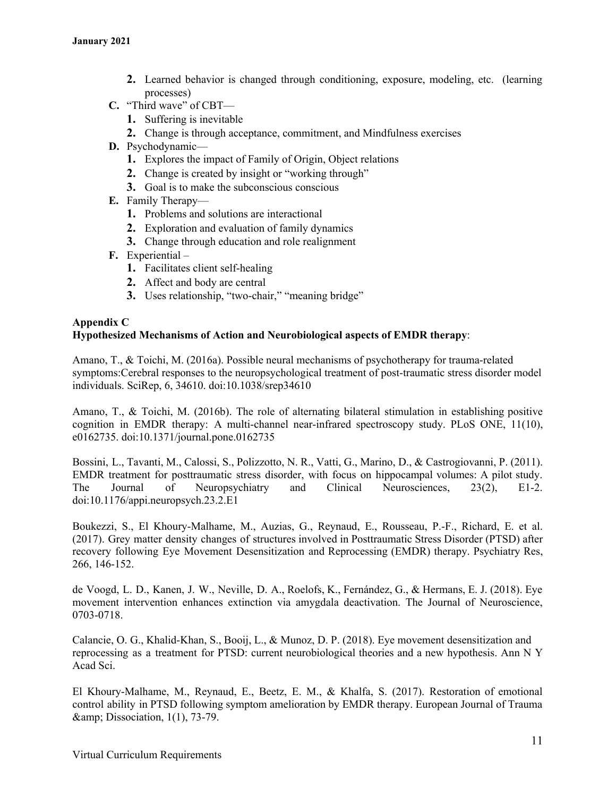- **2.** Learned behavior is changed through conditioning, exposure, modeling, etc. (learning processes)
- **C.** "Third wave" of CBT—
	- **1.** Suffering is inevitable
	- **2.** Change is through acceptance, commitment, and Mindfulness exercises
- **D.** Psychodynamic—
	- **1.** Explores the impact of Family of Origin, Object relations
	- **2.** Change is created by insight or "working through"
	- **3.** Goal is to make the subconscious conscious
- **E.** Family Therapy—
	- **1.** Problems and solutions are interactional
	- **2.** Exploration and evaluation of family dynamics
	- **3.** Change through education and role realignment
- **F.** Experiential
	- **1.** Facilitates client self-healing
	- **2.** Affect and body are central
	- **3.** Uses relationship, "two-chair," "meaning bridge"

### **Appendix C**

### **Hypothesized Mechanisms of Action and Neurobiological aspects of EMDR therapy**:

Amano, T., & Toichi, M. (2016a). Possible neural mechanisms of psychotherapy for trauma-related symptoms:Cerebral responses to the neuropsychological treatment of post-traumatic stress disorder model individuals. SciRep, 6, 34610. doi:10.1038/srep34610

Amano, T., & Toichi, M. (2016b). The role of alternating bilateral stimulation in establishing positive cognition in EMDR therapy: A multi-channel near-infrared spectroscopy study. PLoS ONE, 11(10), e0162735. doi:10.1371/journal.pone.0162735

Bossini, L., Tavanti, M., Calossi, S., Polizzotto, N. R., Vatti, G., Marino, D., & Castrogiovanni, P. (2011). EMDR treatment for posttraumatic stress disorder, with focus on hippocampal volumes: A pilot study. The Journal of Neuropsychiatry and Clinical Neurosciences, 23(2), E1-2. doi:10.1176/appi.neuropsych.23.2.E1

Boukezzi, S., El Khoury-Malhame, M., Auzias, G., Reynaud, E., Rousseau, P.-F., Richard, E. et al. (2017). Grey matter density changes of structures involved in Posttraumatic Stress Disorder (PTSD) after recovery following Eye Movement Desensitization and Reprocessing (EMDR) therapy. Psychiatry Res, 266, 146-152.

de Voogd, L. D., Kanen, J. W., Neville, D. A., Roelofs, K., Fernández, G., & Hermans, E. J. (2018). Eye movement intervention enhances extinction via amygdala deactivation. The Journal of Neuroscience, 0703-0718.

Calancie, O. G., Khalid-Khan, S., Booij, L., & Munoz, D. P. (2018). Eye movement desensitization and reprocessing as a treatment for PTSD: current neurobiological theories and a new hypothesis. Ann N Y Acad Sci.

El Khoury-Malhame, M., Reynaud, E., Beetz, E. M., & Khalfa, S. (2017). Restoration of emotional control ability in PTSD following symptom amelioration by EMDR therapy. European Journal of Trauma  $\&$ ; Dissociation, 1(1), 73-79.